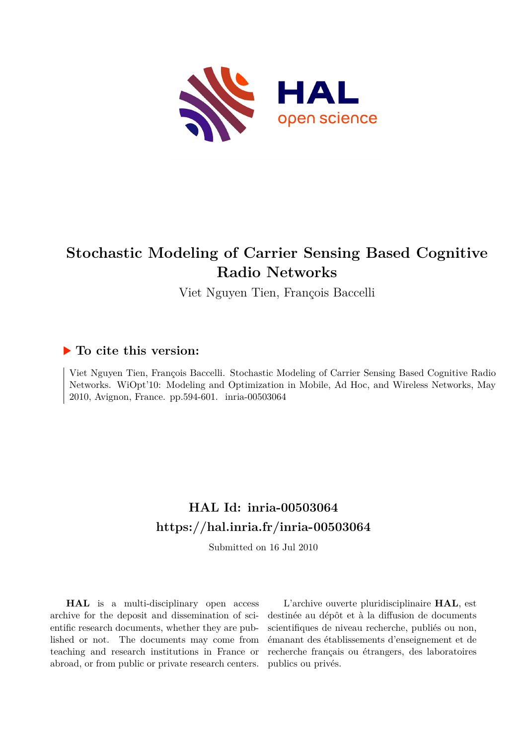

# **Stochastic Modeling of Carrier Sensing Based Cognitive Radio Networks**

Viet Nguyen Tien, François Baccelli

# **To cite this version:**

Viet Nguyen Tien, François Baccelli. Stochastic Modeling of Carrier Sensing Based Cognitive Radio Networks. WiOpt'10: Modeling and Optimization in Mobile, Ad Hoc, and Wireless Networks, May 2010, Avignon, France. pp.594-601. inria-00503064

# **HAL Id: inria-00503064 <https://hal.inria.fr/inria-00503064>**

Submitted on 16 Jul 2010

**HAL** is a multi-disciplinary open access archive for the deposit and dissemination of scientific research documents, whether they are published or not. The documents may come from teaching and research institutions in France or abroad, or from public or private research centers.

L'archive ouverte pluridisciplinaire **HAL**, est destinée au dépôt et à la diffusion de documents scientifiques de niveau recherche, publiés ou non, émanant des établissements d'enseignement et de recherche français ou étrangers, des laboratoires publics ou privés.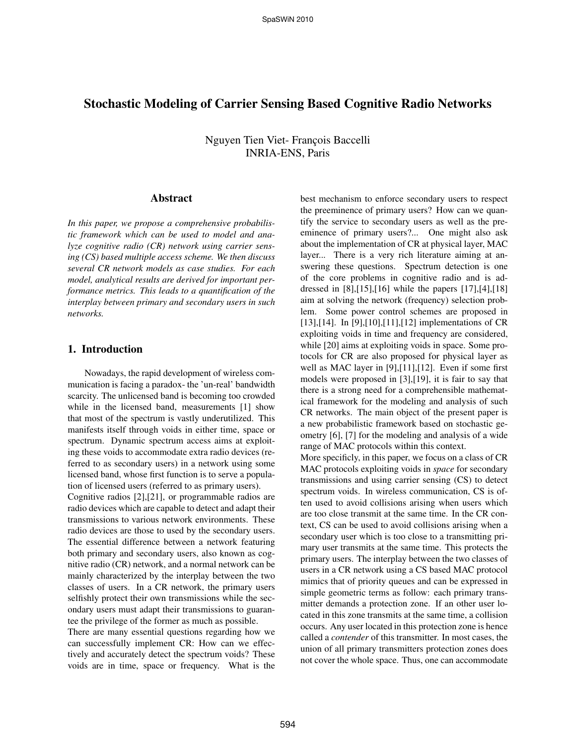# Stochastic Modeling of Carrier Sensing Based Cognitive Radio Networks

Nguyen Tien Viet- François Baccelli INRIA-ENS, Paris

#### Abstract

*In this paper, we propose a comprehensive probabilistic framework which can be used to model and analyze cognitive radio (CR) network using carrier sensing (CS) based multiple access scheme. We then discuss several CR network models as case studies. For each model, analytical results are derived for important performance metrics. This leads to a quantification of the interplay between primary and secondary users in such networks.*

# 1. Introduction

Nowadays, the rapid development of wireless communication is facing a paradox- the 'un-real' bandwidth scarcity. The unlicensed band is becoming too crowded while in the licensed band, measurements [1] show that most of the spectrum is vastly underutilized. This manifests itself through voids in either time, space or spectrum. Dynamic spectrum access aims at exploiting these voids to accommodate extra radio devices (referred to as secondary users) in a network using some licensed band, whose first function is to serve a population of licensed users (referred to as primary users). Cognitive radios [2],[21], or programmable radios are radio devices which are capable to detect and adapt their transmissions to various network environments. These radio devices are those to used by the secondary users. The essential difference between a network featuring both primary and secondary users, also known as cognitive radio (CR) network, and a normal network can be mainly characterized by the interplay between the two classes of users. In a CR network, the primary users selfishly protect their own transmissions while the secondary users must adapt their transmissions to guarantee the privilege of the former as much as possible.

There are many essential questions regarding how we can successfully implement CR: How can we effectively and accurately detect the spectrum voids? These voids are in time, space or frequency. What is the

best mechanism to enforce secondary users to respect the preeminence of primary users? How can we quantify the service to secondary users as well as the preeminence of primary users?... One might also ask about the implementation of CR at physical layer, MAC layer... There is a very rich literature aiming at answering these questions. Spectrum detection is one of the core problems in cognitive radio and is addressed in [8],[15],[16] while the papers [17],[4],[18] aim at solving the network (frequency) selection problem. Some power control schemes are proposed in [13],[14]. In [9],[10],[11],[12] implementations of CR exploiting voids in time and frequency are considered, while [20] aims at exploiting voids in space. Some protocols for CR are also proposed for physical layer as well as MAC layer in [9],[11],[12]. Even if some first models were proposed in [3],[19], it is fair to say that there is a strong need for a comprehensible mathematical framework for the modeling and analysis of such CR networks. The main object of the present paper is a new probabilistic framework based on stochastic geometry [6], [7] for the modeling and analysis of a wide range of MAC protocols within this context.

More specificly, in this paper, we focus on a class of CR MAC protocols exploiting voids in *space* for secondary transmissions and using carrier sensing (CS) to detect spectrum voids. In wireless communication, CS is often used to avoid collisions arising when users which are too close transmit at the same time. In the CR context, CS can be used to avoid collisions arising when a secondary user which is too close to a transmitting primary user transmits at the same time. This protects the primary users. The interplay between the two classes of users in a CR network using a CS based MAC protocol mimics that of priority queues and can be expressed in simple geometric terms as follow: each primary transmitter demands a protection zone. If an other user located in this zone transmits at the same time, a collision occurs. Any user located in this protection zone is hence called a *contender* of this transmitter. In most cases, the union of all primary transmitters protection zones does not cover the whole space. Thus, one can accommodate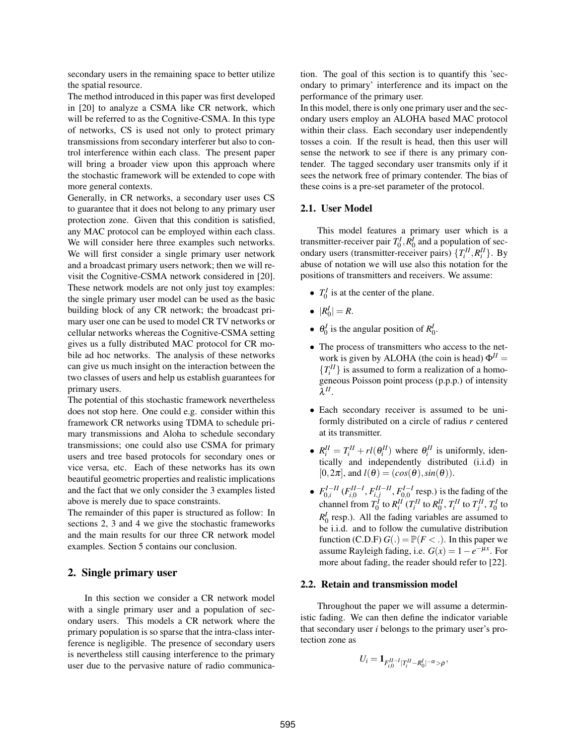secondary users in the remaining space to better utilize the spatial resource.

The method introduced in this paper was first developed in [20] to analyze a CSMA like CR network, which will be referred to as the Cognitive-CSMA. In this type of networks, CS is used not only to protect primary transmissions from secondary interferer but also to control interference within each class. The present paper will bring a broader view upon this approach where the stochastic framework will be extended to cope with more general contexts.

Generally, in CR networks, a secondary user uses CS to guarantee that it does not belong to any primary user protection zone. Given that this condition is satisfied, any MAC protocol can be employed within each class. We will consider here three examples such networks. We will first consider a single primary user network and a broadcast primary users network; then we will revisit the Cognitive-CSMA network considered in [20]. These network models are not only just toy examples: the single primary user model can be used as the basic building block of any CR network; the broadcast primary user one can be used to model CR TV networks or cellular networks whereas the Cognitive-CSMA setting gives us a fully distributed MAC protocol for CR mobile ad hoc networks. The analysis of these networks can give us much insight on the interaction between the two classes of users and help us establish guarantees for primary users.

The potential of this stochastic framework nevertheless does not stop here. One could e.g. consider within this framework CR networks using TDMA to schedule primary transmissions and Aloha to schedule secondary transmissions; one could also use CSMA for primary users and tree based protocols for secondary ones or vice versa, etc. Each of these networks has its own beautiful geometric properties and realistic implications and the fact that we only consider the 3 examples listed above is merely due to space constraints.

The remainder of this paper is structured as follow: In sections 2, 3 and 4 we give the stochastic frameworks and the main results for our three CR network model examples. Section 5 contains our conclusion.

### 2. Single primary user

In this section we consider a CR network model with a single primary user and a population of secondary users. This models a CR network where the primary population is so sparse that the intra-class interference is negligible. The presence of secondary users is nevertheless still causing interference to the primary user due to the pervasive nature of radio communica-

tion. The goal of this section is to quantify this 'secondary to primary' interference and its impact on the performance of the primary user.

In this model, there is only one primary user and the secondary users employ an ALOHA based MAC protocol within their class. Each secondary user independently tosses a coin. If the result is head, then this user will sense the network to see if there is any primary contender. The tagged secondary user transmits only if it sees the network free of primary contender. The bias of these coins is a pre-set parameter of the protocol.

#### 2.1. User Model

This model features a primary user which is a transmitter-receiver pair  $T_0^I$ ,  $R_0^I$  and a population of secondary users (transmitter-receiver pairs)  $\{T_i^{\{I\}}, R_i^{\{I\}}\}$ . By abuse of notation we will use also this notation for the positions of transmitters and receivers. We assume:

- $T_0^I$  is at the center of the plane.
- $|R_0^I| = R$ .
- $\theta_0^I$  is the angular position of  $R_0^I$ .
- The process of transmitters who access to the network is given by ALOHA (the coin is head)  $\Phi^{II}$  =  ${T_i^{II}}$  is assumed to form a realization of a homogeneous Poisson point process (p.p.p.) of intensity λ *II* .
- Each secondary receiver is assumed to be uniformly distributed on a circle of radius *r* centered at its transmitter.
- $R_i^{\text{II}} = T_i^{\text{II}} + rl(\theta_i^{\text{II}})$  where  $\theta_i^{\text{II}}$  is uniformly, identically and independently distributed (i.i.d) in  $[0,2\pi]$ , and  $l(\theta) = (cos(\theta), sin(\theta))$ .
- $F_{0,i}^{I-II}$  ( $F_{i,0}^{II-I}$ ,  $F_{i,j}^{II-II}$ ,  $F_{0,0}^{I-I}$  resp.) is the fading of the channel from  $T_0^I$  to  $R_i^{II}$  ( $T_i^{II}$  to  $R_0^{II}$ ,  $T_i^{II}$  to  $T_j^{II}$ ,  $T_0^I$  to  $R_0^I$  resp.). All the fading variables are assumed to be i.i.d. and to follow the cumulative distribution function (C.D.F)  $G(.) = \mathbb{P}(F \le .)$ . In this paper we assume Rayleigh fading, i.e.  $G(x) = 1 - e^{-\mu x}$ . For more about fading, the reader should refer to [22].

### 2.2. Retain and transmission model

Throughout the paper we will assume a deterministic fading. We can then define the indicator variable that secondary user *i* belongs to the primary user's protection zone as

$$
U_i = \mathbf{1}_{F_{i,0}^{II-I} | T_i^{II} - R_0^I |^{-\alpha} > \rho},
$$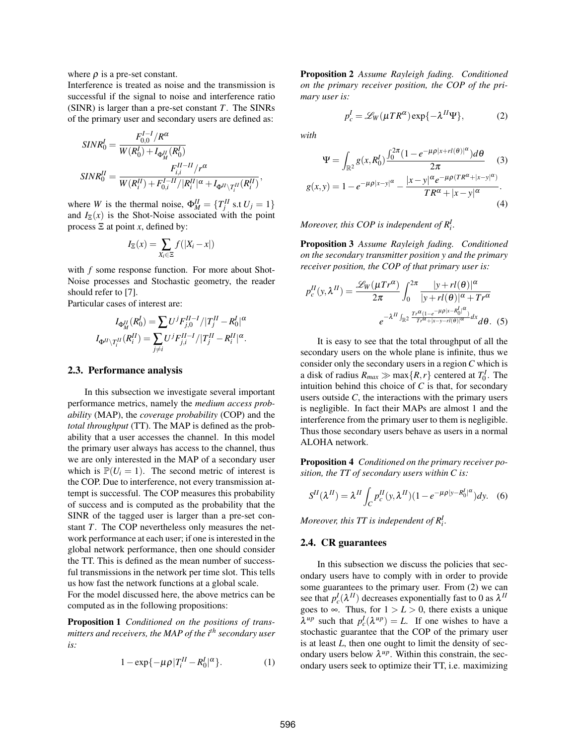where  $\rho$  is a pre-set constant.

Interference is treated as noise and the transmission is successful if the signal to noise and interference ratio (SINR) is larger than a pre-set constant *T*. The SINRs of the primary user and secondary users are defined as:

$$
SINR_0^I = \frac{F_{0,0}^{I-I}/R^{\alpha}}{W(R_0^I) + I_{\Phi_M^H}(R_0^I)}
$$
  
\n
$$
SINR_0^{II} = \frac{F_{i,i}^{II-II}/r^{\alpha}}{W(R_i^{II}) + F_{0,i}^{I-II}/|R_i^{II}|^{\alpha} + I_{\Phi^{II}\setminus T_i^{II}}(R_i^{II})},
$$

where *W* is the thermal noise,  $\Phi_M^H = \{T_j^H \text{ s.t } U_j = 1\}$ and  $I_{\Xi}(x)$  is the Shot-Noise associated with the point process Ξ at point *x*, defined by:

$$
I_{\Xi}(x) = \sum_{X_i \in \Xi} f(|X_i - x|)
$$

with *f* some response function. For more about Shot-Noise processes and Stochastic geometry, the reader should refer to [7].

Particular cases of interest are:

$$
I_{\Phi_{M}^{II}}(R_0^I) = \sum U^j F_{j,0}^{II-I}/|T_j^{II} - R_0^I|^{\alpha}
$$
  

$$
I_{\Phi^{II}\backslash T_i^{II}}(R_i^{II}) = \sum_{j\neq i} U^j F_{j,i}^{II-I}/|T_j^{II} - R_i^{II}|^{\alpha}.
$$

#### 2.3. Performance analysis

In this subsection we investigate several important performance metrics, namely the *medium access probability* (MAP), the *coverage probability* (COP) and the *total throughput* (TT). The MAP is defined as the probability that a user accesses the channel. In this model the primary user always has access to the channel, thus we are only interested in the MAP of a secondary user which is  $\mathbb{P}(U_i = 1)$ . The second metric of interest is the COP. Due to interference, not every transmission attempt is successful. The COP measures this probability of success and is computed as the probability that the SINR of the tagged user is larger than a pre-set constant *T*. The COP nevertheless only measures the network performance at each user; if one is interested in the global network performance, then one should consider the TT. This is defined as the mean number of successful transmissions in the network per time slot. This tells us how fast the network functions at a global scale. For the model discussed here, the above metrics can be

computed as in the following propositions:

Proposition 1 *Conditioned on the positions of transmitters and receivers, the MAP of the ith secondary user is:*

$$
1 - \exp\{-\mu \rho |T_i^H - R_0^I|^\alpha\}.
$$
 (1)

Proposition 2 *Assume Rayleigh fading. Conditioned on the primary receiver position, the COP of the primary user is:*

$$
p_c^I = \mathscr{L}_W(\mu T R^{\alpha}) \exp\{-\lambda^{II} \Psi\},\tag{2}
$$

*with*

$$
\Psi = \int_{\mathbb{R}^2} g(x, R_0^I) \frac{\int_0^{2\pi} (1 - e^{-\mu \rho |x + rI(\theta)|^\alpha}) d\theta}{2\pi} (3)
$$

$$
g(x, y) = 1 - e^{-\mu \rho |x - y|^\alpha} - \frac{|x - y|^\alpha e^{-\mu \rho (TR^\alpha + |x - y|^\alpha)}}{TR^\alpha + |x - y|^\alpha}.
$$
(4)

*Moreover, this COP is independent of R<sup>I</sup> i .*

Proposition 3 *Assume Rayleigh fading. Conditioned on the secondary transmitter position y and the primary receiver position, the COP of that primary user is:*

$$
p_c^H(y, \lambda^H) = \frac{\mathscr{L}_W(\mu Tr^{\alpha})}{2\pi} \int_0^{2\pi} \frac{|y + rl(\theta)|^{\alpha}}{|y + rl(\theta)|^{\alpha} + Tr^{\alpha}}
$$

$$
e^{-\lambda^H \int_{\mathbb{R}^2} \frac{Tr^{\alpha}(1 - e^{-\mu\rho|x - R_0^f|^{\alpha}})}{Tr^{\alpha} + |x - y - ri(\theta)|^{\alpha}} dx} d\theta. \tag{5}
$$

It is easy to see that the total throughput of all the secondary users on the whole plane is infinite, thus we consider only the secondary users in a region*C* which is a disk of radius  $R_{max} \gg \max\{R, r\}$  centered at  $T_0^I$ . The intuition behind this choice of *C* is that, for secondary users outside *C*, the interactions with the primary users is negligible. In fact their MAPs are almost 1 and the interference from the primary user to them is negligible. Thus those secondary users behave as users in a normal ALOHA network.

Proposition 4 *Conditioned on the primary receiver position, the TT of secondary users within C is:*

$$
S^{II}(\lambda^{II}) = \lambda^{II} \int_C p_c^{II}(y, \lambda^{II})(1 - e^{-\mu \rho |y - R_0'|^{\alpha}}) dy.
$$
 (6)

*Moreover, this TT is independent of R<sup>I</sup> i .*

#### 2.4. CR guarantees

In this subsection we discuss the policies that secondary users have to comply with in order to provide some guarantees to the primary user. From (2) we can see that  $p_c^I(\lambda^{II})$  decreases exponentially fast to 0 as  $\lambda^{II}$ goes to  $\infty$ . Thus, for  $1 > L > 0$ , there exists a unique  $\lambda^{up}$  such that  $p_c^I(\lambda^{up}) = L$ . If one wishes to have a stochastic guarantee that the COP of the primary user is at least *L*, then one ought to limit the density of secondary users below  $\lambda^{up}$ . Within this constrain, the secondary users seek to optimize their TT, i.e. maximizing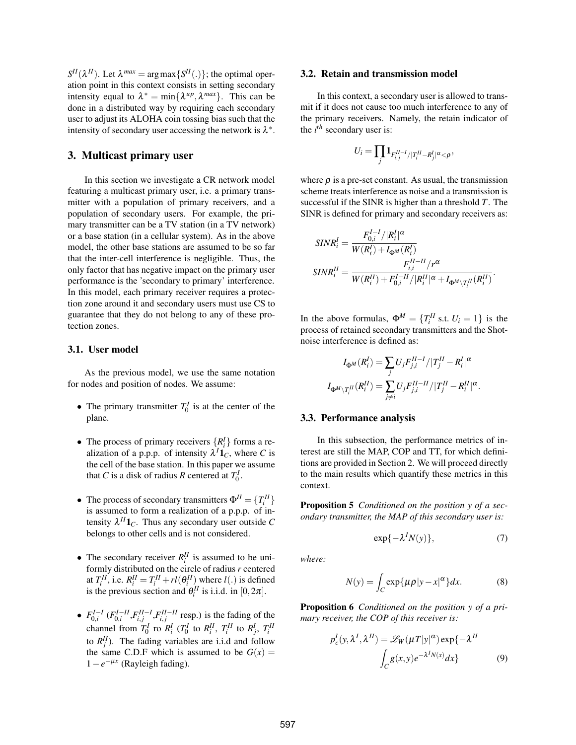$S^{II}(\lambda^{II})$ . Let  $\lambda^{max} = \argmax\{S^{II}(.)\}$ ; the optimal operation point in this context consists in setting secondary intensity equal to  $\lambda^* = \min\{\lambda^{up}, \lambda^{max}\}\$ . This can be done in a distributed way by requiring each secondary user to adjust its ALOHA coin tossing bias such that the intensity of secondary user accessing the network is  $\lambda^*$ .

# 3. Multicast primary user

In this section we investigate a CR network model featuring a multicast primary user, i.e. a primary transmitter with a population of primary receivers, and a population of secondary users. For example, the primary transmitter can be a TV station (in a TV network) or a base station (in a cellular system). As in the above model, the other base stations are assumed to be so far that the inter-cell interference is negligible. Thus, the only factor that has negative impact on the primary user performance is the 'secondary to primary' interference. In this model, each primary receiver requires a protection zone around it and secondary users must use CS to guarantee that they do not belong to any of these protection zones.

#### 3.1. User model

As the previous model, we use the same notation for nodes and position of nodes. We assume:

- The primary transmitter  $T_0^I$  is at the center of the plane.
- The process of primary receivers  $\{R_i^I\}$  forms a realization of a p.p.p. of intensity  $\lambda^{I}$ **1**<sub>*C*</sub>, where *C* is the cell of the base station. In this paper we assume that *C* is a disk of radius *R* centered at  $T_0^I$ .
- The process of secondary transmitters  $\Phi^{II} = \{T_i^{II}\}$ is assumed to form a realization of a p.p.p. of intensity  $\lambda^{II}$ **1**<sub>*C*</sub>. Thus any secondary user outside *C* belongs to other cells and is not considered.
- The secondary receiver  $R_i^{II}$  is assumed to be uniformly distributed on the circle of radius *r* centered at  $T_i^{\text{II}}$ , i.e.  $R_i^{\text{II}} = T_i^{\text{II}} + rl(\theta_i^{\text{II}})$  where  $l(.)$  is defined is the previous section and  $\theta_i^H$  is i.i.d. in [0,2 $\pi$ ].
- $F_{0,i}^{I-I}$  ( $F_{0,i}^{I-I}$ , $F_{i,j}^{II-I}$ , $F_{i,j}^{II-II}$  resp.) is the fading of the channel from  $T_0^I$  ro  $R_i^I$  ( $T_0^I$  to  $R_i^{II}$ ,  $T_i^{II}$  to  $R_j^I$ ,  $T_i^{II}$ to  $R_j^{II}$ ). The fading variables are i.i.d and follow the same C.D.F which is assumed to be  $G(x)$  =  $1-e^{-\mu x}$  (Rayleigh fading).

#### 3.2. Retain and transmission model

In this context, a secondary user is allowed to transmit if it does not cause too much interference to any of the primary receivers. Namely, the retain indicator of the *i th* secondary user is:

$$
U_i=\prod_j\mathbf{1}_{F_{i,j}^{II-I}/|T_i^{II}-R_j^I|}\alpha<\rho
$$

where  $\rho$  is a pre-set constant. As usual, the transmission scheme treats interference as noise and a transmission is successful if the SINR is higher than a threshold *T*. The SINR is defined for primary and secondary receivers as:

$$
\begin{aligned} SINR_i^I &= \frac{F_{0,i}^{I-I}/|R_i^I|^{\alpha}}{W(R_i^I) + I_{\Phi^M}(R_i^I)}\\ SINR_i^{II} &= \frac{F_{i,i}^{II-II}/r^{\alpha}}{W(R_i^{II}) + F_{0,i}^{I-II}/|R_i^{II}|^{\alpha} + I_{\Phi^M \setminus T_i^{II}}(R_i^{II})}. \end{aligned}
$$

In the above formulas,  $\Phi^M = \{T_i^H \text{ s.t. } U_i = 1\}$  is the process of retained secondary transmitters and the Shotnoise interference is defined as:

$$
I_{\Phi^M}(R_i^I) = \sum_j U_j F_{j,i}^{II-I}/|T_j^{II}-R_i^I|^\alpha
$$
  

$$
I_{\Phi^M\setminus T_i^{II}}(R_i^{II}) = \sum_{j\neq i} U_j F_{j,i}^{II-II}/|T_j^{II}-R_i^{II}|^\alpha.
$$

#### 3.3. Performance analysis

In this subsection, the performance metrics of interest are still the MAP, COP and TT, for which definitions are provided in Section 2. We will proceed directly to the main results which quantify these metrics in this context.

Proposition 5 *Conditioned on the position y of a secondary transmitter, the MAP of this secondary user is:*

$$
\exp\{-\lambda^I N(y)\},\tag{7}
$$

*where:*

$$
N(y) = \int_C \exp\{\mu \rho |y - x|^{\alpha}\} dx.
$$
 (8)

Proposition 6 *Conditioned on the position y of a primary receiver, the COP of this receiver is:*

$$
p_c^I(y, \lambda^I, \lambda^{II}) = \mathcal{L}_W(\mu T |y|^\alpha) \exp\{-\lambda^{II}
$$

$$
\int_C g(x, y)e^{-\lambda^I N(x)}dx\}
$$
(9)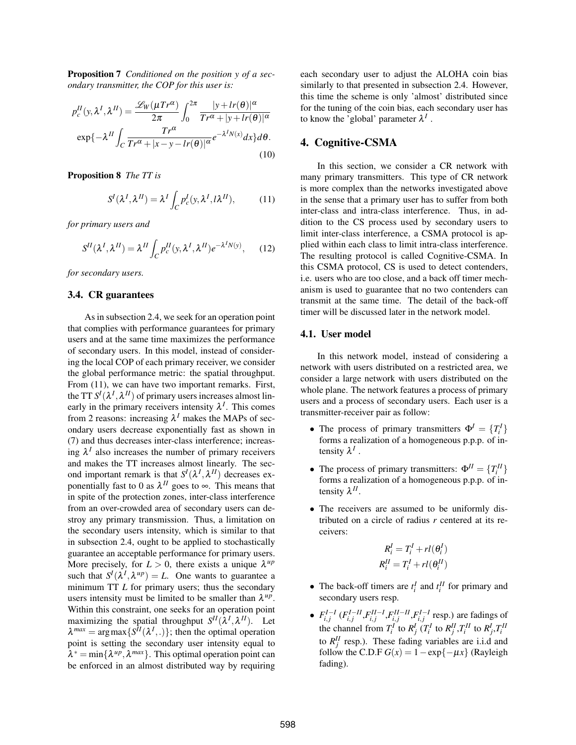Proposition 7 *Conditioned on the position y of a secondary transmitter, the COP for this user is:*

$$
p_c^H(y, \lambda^I, \lambda^II) = \frac{\mathscr{L}_W(\mu \, \mathcal{T}r^{\alpha})}{2\pi} \int_0^{2\pi} \frac{|y + lr(\theta)|^{\alpha}}{Tr^{\alpha} + |y + lr(\theta)|^{\alpha}}
$$

$$
\exp\{-\lambda^{II} \int_C \frac{Tr^{\alpha}}{Tr^{\alpha} + |x - y - Ir(\theta)|^{\alpha}} e^{-\lambda^I N(x)} dx\} d\theta.
$$
(10)

Proposition 8 *The TT is*

$$
S^{I}(\lambda^{I}, \lambda^{II}) = \lambda^{I} \int_{C} p_{c}^{I}(y, \lambda^{I}, l\lambda^{II}), \qquad (11)
$$

*for primary users and*

$$
S^{II}(\lambda^I, \lambda^{II}) = \lambda^{II} \int_C p_c^{II}(y, \lambda^I, \lambda^{II}) e^{-\lambda^I N(y)}, \qquad (12)
$$

*for secondary users.*

#### 3.4. CR guarantees

As in subsection 2.4, we seek for an operation point that complies with performance guarantees for primary users and at the same time maximizes the performance of secondary users. In this model, instead of considering the local COP of each primary receiver, we consider the global performance metric: the spatial throughput. From (11), we can have two important remarks. First, the TT  $S^I(\lambda^I, \lambda^{II})$  of primary users increases almost linearly in the primary receivers intensity  $\lambda^{I}$ . This comes from 2 reasons: increasing  $\lambda^I$  makes the MAPs of secondary users decrease exponentially fast as shown in (7) and thus decreases inter-class interference; increasing  $\lambda^I$  also increases the number of primary receivers and makes the TT increases almost linearly. The second important remark is that  $S^I(\lambda^I, \lambda^II)$  decreases exponentially fast to 0 as  $\lambda^{II}$  goes to  $\infty$ . This means that in spite of the protection zones, inter-class interference from an over-crowded area of secondary users can destroy any primary transmission. Thus, a limitation on the secondary users intensity, which is similar to that in subsection 2.4, ought to be applied to stochastically guarantee an acceptable performance for primary users. More precisely, for  $L > 0$ , there exists a unique  $\lambda^{up}$ such that  $S^I(\lambda^I, \lambda^{up}) = L$ . One wants to guarantee a minimum TT *L* for primary users; thus the secondary users intensity must be limited to be smaller than  $\lambda^{up}$ . Within this constraint, one seeks for an operation point maximizing the spatial throughput  $S^{II}(\lambda^I, \lambda^{II})$ . Let  $\lambda^{max} = \arg \max \{ S^{\textit{II}}(\lambda^{\textit{I}},.) \}$ ; then the optimal operation point is setting the secondary user intensity equal to  $\lambda^* = \min\{\lambda^{up}, \lambda^{max}\}\$ . This optimal operation point can be enforced in an almost distributed way by requiring each secondary user to adjust the ALOHA coin bias similarly to that presented in subsection 2.4. However, this time the scheme is only 'almost' distributed since for the tuning of the coin bias, each secondary user has to know the 'global' parameter  $\lambda^I$ .

# 4. Cognitive-CSMA

In this section, we consider a CR network with many primary transmitters. This type of CR network is more complex than the networks investigated above in the sense that a primary user has to suffer from both inter-class and intra-class interference. Thus, in addition to the CS process used by secondary users to limit inter-class interference, a CSMA protocol is applied within each class to limit intra-class interference. The resulting protocol is called Cognitive-CSMA. In this CSMA protocol, CS is used to detect contenders, i.e. users who are too close, and a back off timer mechanism is used to guarantee that no two contenders can transmit at the same time. The detail of the back-off timer will be discussed later in the network model.

#### 4.1. User model

In this network model, instead of considering a network with users distributed on a restricted area, we consider a large network with users distributed on the whole plane. The network features a process of primary users and a process of secondary users. Each user is a transmitter-receiver pair as follow:

- The process of primary transmitters  $\Phi^I = \{T_i^I\}$ forms a realization of a homogeneous p.p.p. of intensity  $\lambda^I$  .
- The process of primary transmitters:  $\Phi^{II} = \{T_i^{II}\}$ forms a realization of a homogeneous p.p.p. of intensity  $\lambda$ <sup>*II*</sup>.
- The receivers are assumed to be uniformly distributed on a circle of radius *r* centered at its receivers:

$$
R_i^I = T_i^I + rl(\theta_i^I)
$$
  

$$
R_i^{II} = T_i^I + rl(\theta_i^{II})
$$

- The back-off timers are  $t_i^I$  and  $t_i^{II}$  for primary and secondary users resp.
- $F_{i,j}^{I-I}$   $(F_{i,j}^{I-II}, F_{i,j}^{II-I}, F_{i,j}^{II-II}, F_{i,j}^{I-I}$  resp.) are fadings of the channel from  $T_i^I$  to  $R_j^I$  ( $T_i^I$  to  $R_j^I$ , $T_i^{II}$  to  $R_j^I$ , $T_i^{II}$ to  $R_j$ <sup>II</sup> resp.). These fading variables are i.i.d and follow the C.D.F  $G(x) = 1 - \exp\{-\mu x\}$  (Rayleigh fading).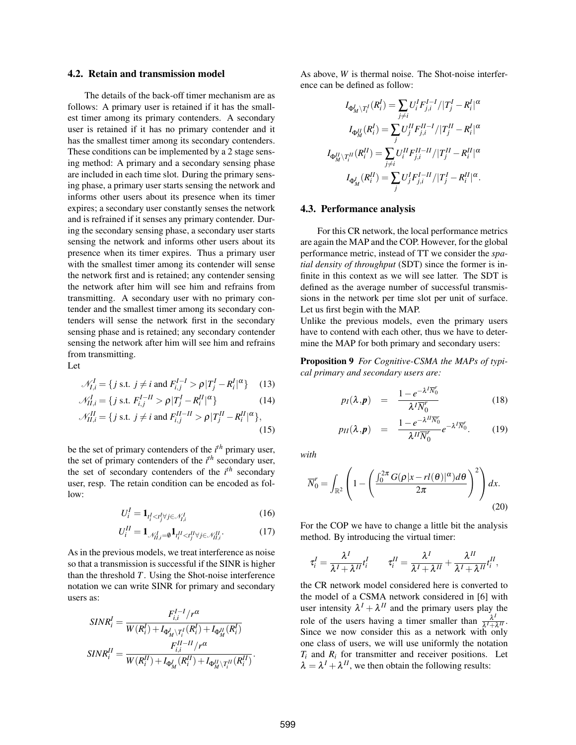#### 4.2. Retain and transmission model

The details of the back-off timer mechanism are as follows: A primary user is retained if it has the smallest timer among its primary contenders. A secondary user is retained if it has no primary contender and it has the smallest timer among its secondary contenders. These conditions can be implemented by a 2 stage sensing method: A primary and a secondary sensing phase are included in each time slot. During the primary sensing phase, a primary user starts sensing the network and informs other users about its presence when its timer expires; a secondary user constantly senses the network and is refrained if it senses any primary contender. During the secondary sensing phase, a secondary user starts sensing the network and informs other users about its presence when its timer expires. Thus a primary user with the smallest timer among its contender will sense the network first and is retained; any contender sensing the network after him will see him and refrains from transmitting. A secondary user with no primary contender and the smallest timer among its secondary contenders will sense the network first in the secondary sensing phase and is retained; any secondary contender sensing the network after him will see him and refrains from transmitting.

Let

$$
\mathcal{N}_{I,i}^I = \{ j \text{ s.t. } j \neq i \text{ and } F_{i,j}^{I-I} > \rho |T_j^I - R_i^I|^\alpha \}
$$
 (13)

$$
\mathcal{N}_{II,i}^I = \{ j \text{ s.t. } F_{i,j}^{I-II} > \rho | T_j^I - R_i^{II} |^{\alpha} \}
$$
(14)

$$
\mathcal{N}_{II,i}^{II} = \{ j \text{ s.t. } j \neq i \text{ and } F_{i,j}^{II-II} > \rho | T_j^{II} - R_i^{II} |^{\alpha} \},\tag{15}
$$

be the set of primary contenders of the *i th* primary user, the set of primary contenders of the *i th* secondary user, the set of secondary contenders of the *i th* secondary user, resp. The retain condition can be encoded as follow:

$$
U_i^I = \mathbf{1}_{t_i^I < t_j^I \forall j \in \mathcal{N}_{I,i}^I} \tag{16}
$$

$$
U_i^{II} = \mathbf{1}_{\mathcal{N}_{II,i}^I = \mathbf{0}} \mathbf{1}_{t_i^{II} < t_j^{II} \forall j \in \mathcal{N}_{II,i}^I}.\tag{17}
$$

As in the previous models, we treat interference as noise so that a transmission is successful if the SINR is higher than the threshold *T*. Using the Shot-noise interference notation we can write SINR for primary and secondary users as:

$$
\begin{aligned} SINR_i^I&=\frac{F_{i,i}^{I-I}/r^{\alpha}}{W(R_i^I)+I_{\Phi_M^I\backslash T_i^I}(R_i^I)+I_{\Phi_M^H}(R_i^I)}\\ SINR_i^{II}&=\frac{F_{i,i}^{II-II}/r^{\alpha}}{W(R_i^{II})+I_{\Phi_M^I}(R_i^{II})+I_{\Phi_M^H\backslash T_i^H}(R_i^{II})}.\end{aligned}
$$

As above, *W* is thermal noise. The Shot-noise interference can be defined as follow:

$$
\begin{split} I_{\Phi_M^I \backslash T_i^I}(R_i^I) &= \sum_{j \neq i} U_i^I F_{j,i}^{I-I} / |T_j^I - R_i^I|^\alpha \\ I_{\Phi_M^{II}}(R_i^I) &= \sum_{j} U_j^{II} F_{j,i}^{II-I} / |T_j^{II} - R_i^I|^\alpha \\ I_{\Phi_M^{II} \backslash T_i^{II}}(R_i^{II}) &= \sum_{j \neq i} U_i^{II} F_{j,i}^{II-II} / |T_j^{II} - R_i^{II}|^\alpha \\ I_{\Phi_M^I}(R_i^{II}) &= \sum_{j} U_j^I F_{j,i}^{I-II} / |T_j^I - R_i^{II}|^\alpha. \end{split}
$$

#### 4.3. Performance analysis

For this CR network, the local performance metrics are again the MAP and the COP. However, for the global performance metric, instead of TT we consider the *spatial density of throughput* (SDT) since the former is infinite in this context as we will see latter. The SDT is defined as the average number of successful transmissions in the network per time slot per unit of surface. Let us first begin with the MAP.

Unlike the previous models, even the primary users have to contend with each other, thus we have to determine the MAP for both primary and secondary users:

Proposition 9 *For Cognitive-CSMA the MAPs of typical primary and secondary users are:*

$$
p_I(\lambda, \boldsymbol{p}) = \frac{1 - e^{-\lambda^I \overline{N}_0^t}}{\lambda^I \overline{N}_0^t}
$$
(18)

$$
p_{II}(\lambda, \boldsymbol{p}) = \frac{1 - e^{-\lambda^{II} \overline{N}_0^t}}{\lambda^{II} \overline{N}_0^t} e^{-\lambda^I \overline{N}_0^t}.
$$
 (19)

*with*

$$
\overline{N}'_0 = \int_{\mathbb{R}^2} \left( 1 - \left( \frac{\int_0^{2\pi} G(\rho | x - r l(\theta) |^{\alpha}) d\theta}{2\pi} \right)^2 \right) dx.
$$
\n(20)

For the COP we have to change a little bit the analysis method. By introducing the virtual timer:

$$
\tau_i^I = \frac{\lambda^I}{\lambda^I + \lambda^{II}} t_i^I \qquad \tau_i^{II} = \frac{\lambda^I}{\lambda^I + \lambda^{II}} + \frac{\lambda^{II}}{\lambda^I + \lambda^{II}} t_i^{II},
$$

the CR network model considered here is converted to the model of a CSMA network considered in [6] with user intensity  $\lambda^I + \lambda^H$  and the primary users play the role of the users having a timer smaller than  $\frac{\lambda^l}{\lambda^l}$  $\frac{\lambda^i}{\lambda^I + \lambda I^I}$ . Since we now consider this as a network with only one class of users, we will use uniformly the notation  $T_i$  and  $R_i$  for transmitter and receiver positions. Let  $\lambda = \lambda^I + \lambda^{II}$ , we then obtain the following results: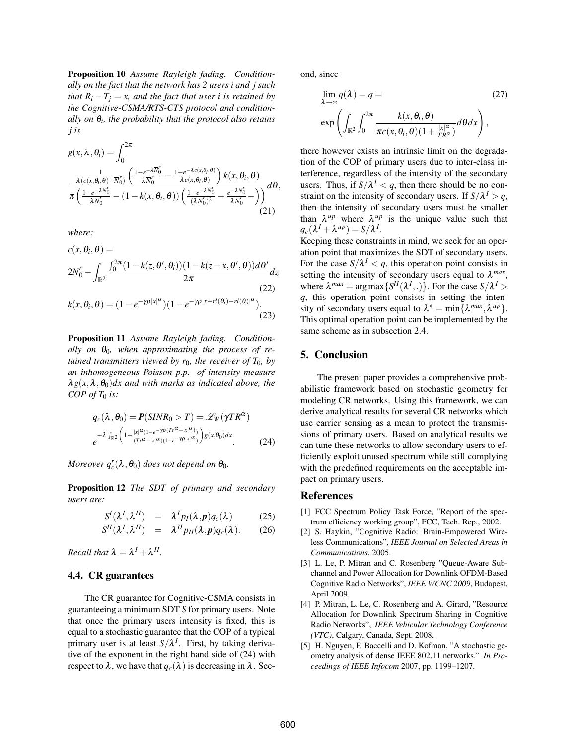Proposition 10 *Assume Rayleigh fading. Conditionally on the fact that the network has 2 users i and j such that*  $R_i - T_i = x$ , and the fact that user *i* is retained by *the Cognitive-CSMA/RTS-CTS protocol and conditionally on* θ*<sup>i</sup> , the probability that the protocol also retains j is*

$$
g(x, \lambda, \theta_i) = \int_0^{2\pi} \frac{1}{\lambda(c(x, \theta_i, \theta) - \overline{N'_0})} \left( \frac{1 - e^{-\lambda \overline{N'_0}}}{\lambda \overline{N'_0}} - \frac{1 - e^{-\lambda c(x, \theta_i, \theta)}}{\lambda c(x, \theta_i, \theta)} \right) k(x, \theta_i, \theta) \pi \left( \frac{1 - e^{-\lambda \overline{N'_0}}}{\lambda \overline{N'_0}} - (1 - k(x, \theta_i, \theta)) \left( \frac{1 - e^{-\lambda \overline{N'_0}}}{(\lambda \overline{N'_0})^2} - \frac{e^{-\lambda \overline{N'_0}}}{\lambda \overline{N'_0}} - \right) \right) d\theta,
$$
\n(21)

*where:*

$$
c(x, \theta_i, \theta) =
$$
  
\n
$$
2\overline{N}_0' - \int_{\mathbb{R}^2} \frac{\int_0^{2\pi} (1 - k(z, \theta', \theta_i))(1 - k(z - x, \theta', \theta))d\theta'}{2\pi} dz
$$
  
\n
$$
k(x, \theta_i, \theta) = (1 - e^{-\gamma \rho |x|^{\alpha}})(1 - e^{-\gamma \rho |x - rI(\theta_i) - rI(\theta)|^{\alpha}}).
$$
  
\n(23)

Proposition 11 *Assume Rayleigh fading. Condition-* $\alpha$  ally on  $\theta_0$ , when approximating the process of re*tained transmitters viewed by*  $r_0$ *, the receiver of*  $T_0$ *, by an inhomogeneous Poisson p.p. of intensity measure*  $\lambda g(x, \lambda, \theta_0) dx$  and with marks as indicated above, the *COP of T*<sup>0</sup> *is:*

$$
q_c(\lambda, \theta_0) = P(SINR_0 > T) = \mathscr{L}_W(\gamma TR^{\alpha})
$$
  

$$
e^{-\lambda \int_{\mathbb{R}^2} \left(1 - \frac{|x|^{\alpha} (1 - e^{-\gamma \rho (Tr^{\alpha} + |x|^{\alpha})})}{(Tr^{\alpha} + |x|^{\alpha})(1 - e^{-\gamma \rho |x|^{\alpha}})}\right) g(x, \theta_0) dx}.
$$
 (24)

*Moreover*  $q_c^r(\lambda, \theta_0)$  does not depend on  $\theta_0$ .

Proposition 12 *The SDT of primary and secondary users are:*

$$
S^{I}(\lambda^{I}, \lambda^{II}) = \lambda^{I} p_{I}(\lambda, p) q_{c}(\lambda)
$$
 (25)

$$
S^{II}(\lambda^I, \lambda^{II}) = \lambda^{II} p_{II}(\lambda, p) q_c(\lambda). \qquad (26)
$$

*Recall that*  $\lambda = \lambda^I + \lambda^{II}$ *.* 

#### 4.4. CR guarantees

The CR guarantee for Cognitive-CSMA consists in guaranteeing a minimum SDT *S* for primary users. Note that once the primary users intensity is fixed, this is equal to a stochastic guarantee that the COP of a typical primary user is at least  $S/\lambda^I$ . First, by taking derivative of the exponent in the right hand side of (24) with respect to  $\lambda$ , we have that  $q_c(\lambda)$  is decreasing in  $\lambda$ . Second, since

$$
\lim_{\lambda \to \infty} q(\lambda) = q = \qquad (27)
$$
\n
$$
\exp\left(\int_{\mathbb{R}^2} \int_0^{2\pi} \frac{k(x, \theta_i, \theta)}{\pi c(x, \theta_i, \theta)(1 + \frac{|x|^{\alpha}}{TR^{\alpha}})} d\theta dx\right),
$$

there however exists an intrinsic limit on the degradation of the COP of primary users due to inter-class interference, regardless of the intensity of the secondary users. Thus, if  $S/\lambda^I < q$ , then there should be no constraint on the intensity of secondary users. If  $S/\lambda^I > q$ , then the intensity of secondary users must be smaller than  $\lambda^{up}$  where  $\lambda^{up}$  is the unique value such that  $q_c(\lambda^I + \lambda^{up}) = S/\lambda^I$ .

Keeping these constraints in mind, we seek for an operation point that maximizes the SDT of secondary users. For the case  $S/\lambda^I < q$ , this operation point consists in setting the intensity of secondary users equal to  $\lambda^{max}$ , where  $\lambda^{max} = \arg \max \{ S^I(\lambda^I,.) \}$ . For the case  $S/\lambda^I$ *q*, this operation point consists in setting the intensity of secondary users equal to  $\lambda^* = \min\{\lambda^{max}, \lambda^{up}\}.$ This optimal operation point can be implemented by the same scheme as in subsection 2.4.

#### 5. Conclusion

The present paper provides a comprehensive probabilistic framework based on stochastic geometry for modeling CR networks. Using this framework, we can derive analytical results for several CR networks which use carrier sensing as a mean to protect the transmissions of primary users. Based on analytical results we can tune these networks to allow secondary users to efficiently exploit unused spectrum while still complying with the predefined requirements on the acceptable impact on primary users.

#### References

- [1] FCC Spectrum Policy Task Force, "Report of the spectrum efficiency working group", FCC, Tech. Rep., 2002.
- [2] S. Haykin, "Cognitive Radio: Brain-Empowered Wireless Communications", *IEEE Journal on Selected Areas in Communications*, 2005.
- [3] L. Le, P. Mitran and C. Rosenberg "Queue-Aware Subchannel and Power Allocation for Downlink OFDM-Based Cognitive Radio Networks", *IEEE WCNC 2009*, Budapest, April 2009.
- [4] P. Mitran, L. Le, C. Rosenberg and A. Girard, "Resource Allocation for Downlink Spectrum Sharing in Cognitive Radio Networks", *IEEE Vehicular Technology Conference (VTC)*, Calgary, Canada, Sept. 2008.
- [5] H. Nguyen, F. Baccelli and D. Kofman, "A stochastic geometry analysis of dense IEEE 802.11 networks." *In Proceedings of IEEE Infocom* 2007, pp. 1199–1207.